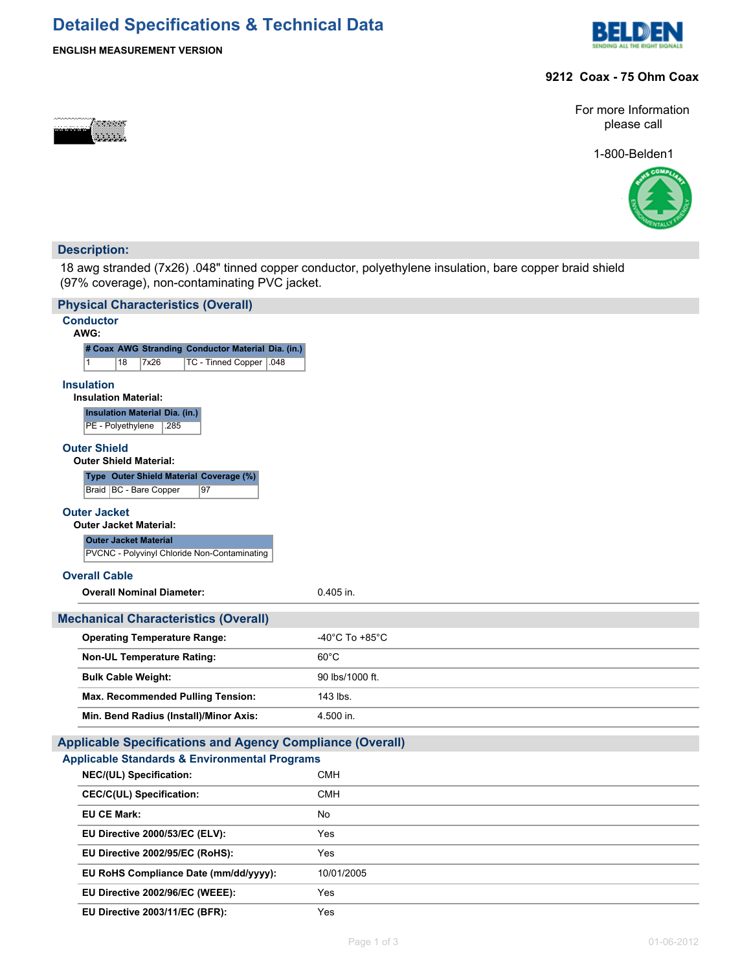# **Detailed Specifications & Technical Data**





#### **9212 Coax - 75 Ohm Coax**

For more Information please call

1-800-Belden1



### **Description:**

ಹಾದವರ

18 awg stranded (7x26) .048" tinned copper conductor, polyethylene insulation, bare copper braid shield (97% coverage), non-contaminating PVC jacket.

| <b>Physical Characteristics (Overall)</b>                          |                 |
|--------------------------------------------------------------------|-----------------|
| <b>Conductor</b><br>AWG:                                           |                 |
| # Coax AWG Stranding Conductor Material Dia. (in.)                 |                 |
| 18<br>7x26<br>TC - Tinned Copper   .048                            |                 |
| <b>Insulation</b>                                                  |                 |
| <b>Insulation Material:</b>                                        |                 |
| <b>Insulation Material Dia. (in.)</b><br>PE - Polyethylene<br>.285 |                 |
| <b>Outer Shield</b>                                                |                 |
| <b>Outer Shield Material:</b>                                      |                 |
| Type Outer Shield Material Coverage (%)                            |                 |
| Braid   BC - Bare Copper<br>97                                     |                 |
| <b>Outer Jacket</b>                                                |                 |
| <b>Outer Jacket Material:</b>                                      |                 |
| <b>Outer Jacket Material</b>                                       |                 |
| PVCNC - Polyvinyl Chloride Non-Contaminating                       |                 |
| <b>Overall Cable</b>                                               |                 |
| <b>Overall Nominal Diameter:</b>                                   | 0.405 in.       |
| <b>Mechanical Characteristics (Overall)</b>                        |                 |
| <b>Operating Temperature Range:</b>                                | -40°C To +85°C  |
| <b>Non-UL Temperature Rating:</b>                                  | $60^{\circ}$ C  |
|                                                                    | 90 lbs/1000 ft. |
| <b>Bulk Cable Weight:</b>                                          |                 |
| Max. Recommended Pulling Tension:                                  | 143 lbs.        |
| Min. Bend Radius (Install)/Minor Axis:                             | 4.500 in.       |
| <b>Applicable Specifications and Agency Compliance (Overall)</b>   |                 |
| <b>Applicable Standards &amp; Environmental Programs</b>           |                 |
| NEC/(UL) Specification:                                            | <b>CMH</b>      |
| <b>CEC/C(UL) Specification:</b>                                    | <b>CMH</b>      |
| <b>EU CE Mark:</b>                                                 | No              |
| EU Directive 2000/53/EC (ELV):                                     | Yes             |
| EU Directive 2002/95/EC (RoHS):                                    | Yes             |
| EU RoHS Compliance Date (mm/dd/yyyy):                              | 10/01/2005      |
| EU Directive 2002/96/EC (WEEE):                                    | Yes             |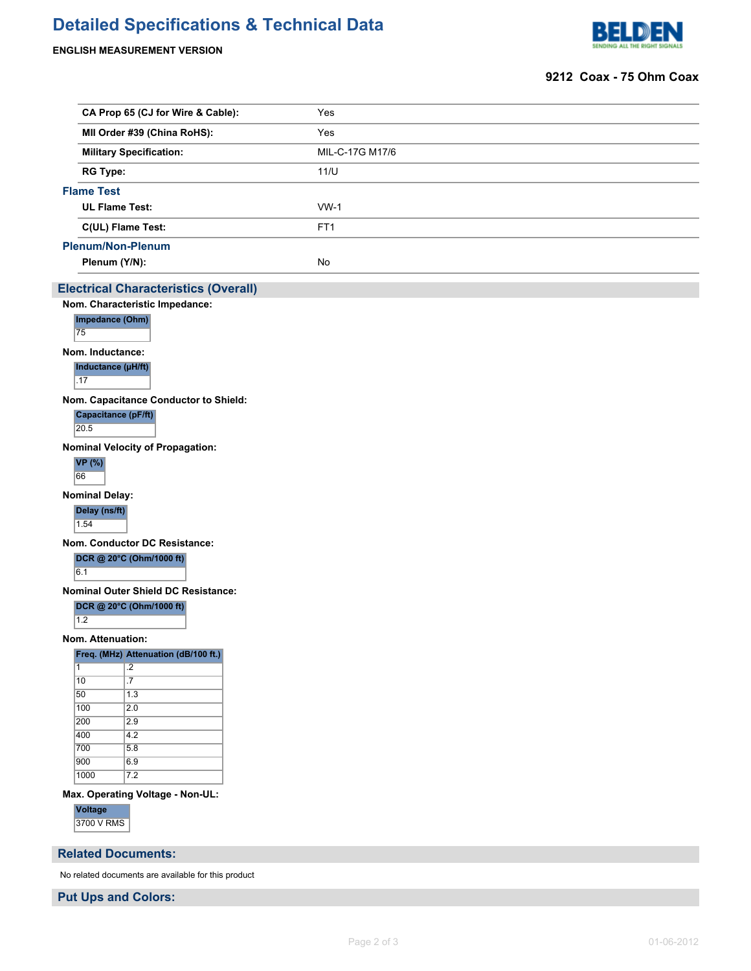## **Detailed Specifications & Technical Data**

#### **ENGLISH MEASUREMENT VERSION**



#### **9212 Coax - 75 Ohm Coax**

| CA Prop 65 (CJ for Wire & Cable): | Yes                                           |  |  |  |
|-----------------------------------|-----------------------------------------------|--|--|--|
| MII Order #39 (China RoHS):       | Yes                                           |  |  |  |
| <b>Military Specification:</b>    | MIL-C-17G M17/6<br>11/U                       |  |  |  |
| <b>RG Type:</b>                   |                                               |  |  |  |
|                                   |                                               |  |  |  |
| <b>UL Flame Test:</b>             | $WW-1$                                        |  |  |  |
| C(UL) Flame Test:                 | FT <sub>1</sub>                               |  |  |  |
|                                   |                                               |  |  |  |
| Plenum (Y/N):                     | No                                            |  |  |  |
|                                   | <b>Flame Test</b><br><b>Plenum/Non-Plenum</b> |  |  |  |

#### **Electrical Characteristics (Overall)**

**Nom. Characteristic Impedance:**



**Nom. Inductance:**

**Inductance (µH/ft)** .17

**Nom. Capacitance Conductor to Shield:**

**Capacitance (pF/ft)** 20.5

**Nominal Velocity of Propagation:**



**Nominal Delay:**

**Delay (ns/ft)** 1.54

**Nom. Conductor DC Resistance:**

**DCR @ 20°C (Ohm/1000 ft)**

 $6.1$ 

**Nominal Outer Shield DC Resistance:**

**DCR @ 20°C (Ohm/1000 ft)**

 $1.2$ 

**Nom. Attenuation:**

**Freq. (MHz) Attenuation (dB/100 ft.)**

| 1    | $\cdot$ |
|------|---------|
| 10   | .7      |
| 50   | 1.3     |
| 100  | 2.0     |
| 200  | 2.9     |
| 400  | 4.2     |
| 700  | 5.8     |
| 900  | 6.9     |
| 1000 | 7.2     |

**Max. Operating Voltage - Non-UL:**

**Voltage** 3700 V RMS

#### **Related Documents:**

No related documents are available for this product

**Put Ups and Colors:**